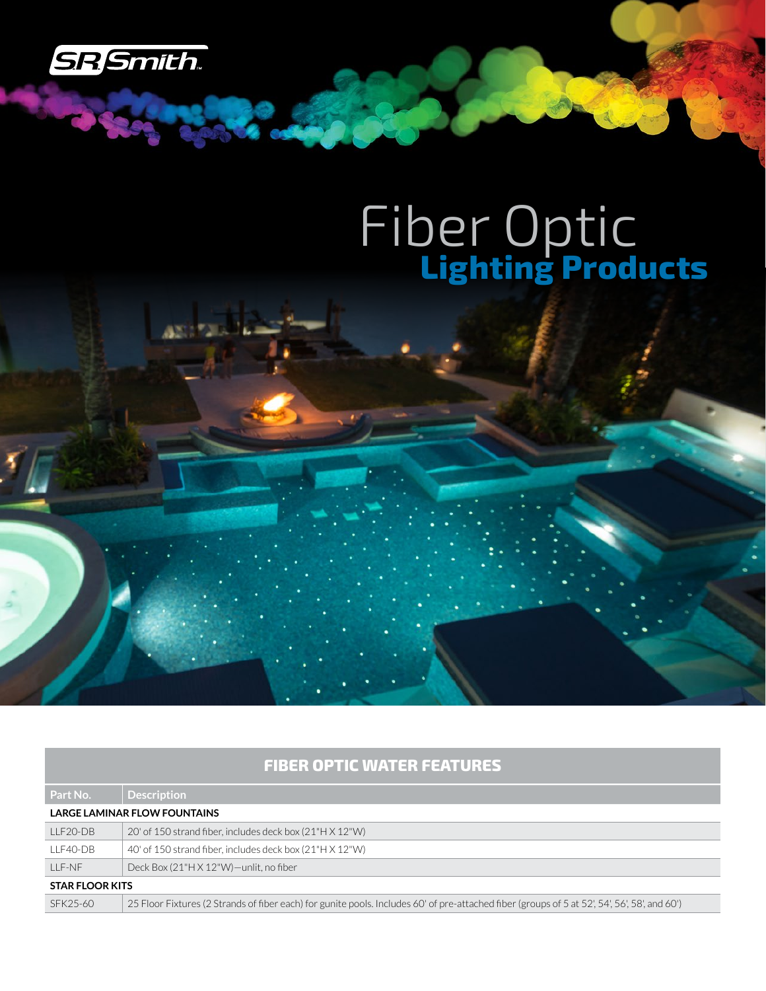

**Rangel** 

## Fiber Optic **Lighting Products**

## **FIBER OPTIC WATER FEATURES**

| Part No.                     | Description                                                                                                                                   |  |
|------------------------------|-----------------------------------------------------------------------------------------------------------------------------------------------|--|
| LARGE LAMINAR FLOW FOUNTAINS |                                                                                                                                               |  |
| LLF20-DB                     | 20' of 150 strand fiber, includes deck box (21"H X 12"W)                                                                                      |  |
| LLF40-DB                     | 40' of 150 strand fiber, includes deck box (21"H X 12"W)                                                                                      |  |
| $IIF-NF$                     | Deck Box (21"H X 12"W)-unlit, no fiber                                                                                                        |  |
| <b>STAR FLOOR KITS</b>       |                                                                                                                                               |  |
| SFK25-60                     | 25 Floor Fixtures (2 Strands of fiber each) for gunite pools. Includes 60' of pre-attached fiber (groups of 5 at 52', 54', 56', 58', and 60') |  |